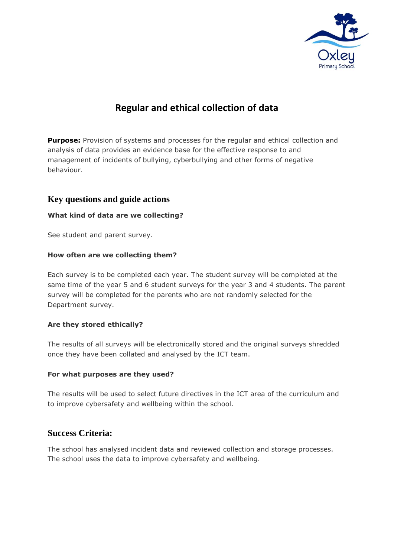

# **Regular and ethical collection of data**

**Purpose:** Provision of systems and processes for the regular and ethical collection and analysis of data provides an evidence base for the effective response to and management of incidents of bullying, cyberbullying and other forms of negative behaviour.

# **Key questions and guide actions**

### **What kind of data are we collecting?**

See student and parent survey.

#### **How often are we collecting them?**

Each survey is to be completed each year. The student survey will be completed at the same time of the year 5 and 6 student surveys for the year 3 and 4 students. The parent survey will be completed for the parents who are not randomly selected for the Department survey.

### **Are they stored ethically?**

The results of all surveys will be electronically stored and the original surveys shredded once they have been collated and analysed by the ICT team.

#### **For what purposes are they used?**

The results will be used to select future directives in the ICT area of the curriculum and to improve cybersafety and wellbeing within the school.

## **Success Criteria:**

The school has analysed incident data and reviewed collection and storage processes. The school uses the data to improve cybersafety and wellbeing.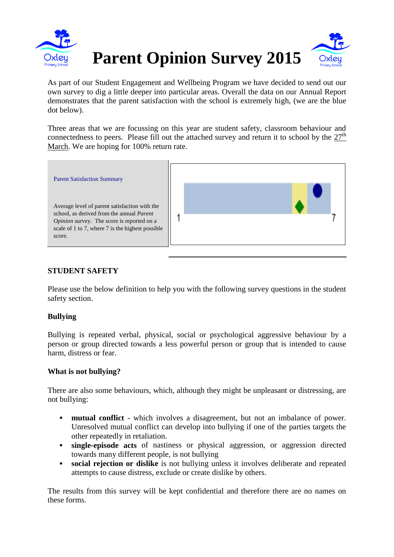

As part of our Student Engagement and Wellbeing Program we have decided to send out our own survey to dig a little deeper into particular areas. Overall the data on our Annual Report demonstrates that the parent satisfaction with the school is extremely high, (we are the blue dot below).

Three areas that we are focussing on this year are student safety, classroom behaviour and connectedness to peers. Please fill out the attached survey and return it to school by the  $27<sup>th</sup>$ March. We are hoping for 100% return rate.



# **STUDENT SAFETY**

Please use the below definition to help you with the following survey questions in the student safety section.

## **Bullying**

Bullying is repeated verbal, physical, social or psychological aggressive behaviour by a person or group directed towards a less powerful person or group that is intended to cause harm, distress or fear.

### **What is not bullying?**

There are also some behaviours, which, although they might be unpleasant or distressing, are not bullying:

- **mutual conflict** which involves a disagreement, but not an imbalance of power. Unresolved mutual conflict can develop into bullying if one of the parties targets the other repeatedly in retaliation.
- **single-episode acts** of nastiness or physical aggression, or aggression directed towards many different people, is not bullying
- **social rejection or dislike** is not bullying unless it involves deliberate and repeated attempts to cause distress, exclude or create dislike by others.

The results from this survey will be kept confidential and therefore there are no names on these forms.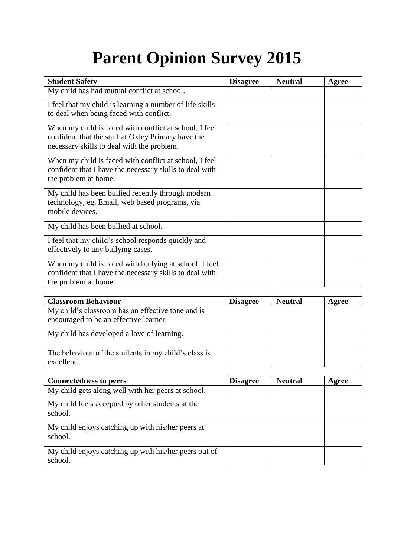# **Parent Opinion Survey 2015**

| <b>Student Safety</b>                                                                                                                                      | <b>Disagree</b> | <b>Neutral</b> | Agree |
|------------------------------------------------------------------------------------------------------------------------------------------------------------|-----------------|----------------|-------|
| My child has had mutual conflict at school.                                                                                                                |                 |                |       |
| I feel that my child is learning a number of life skills<br>to deal when being faced with conflict.                                                        |                 |                |       |
| When my child is faced with conflict at school, I feel<br>confident that the staff at Oxley Primary have the<br>necessary skills to deal with the problem. |                 |                |       |
| When my child is faced with conflict at school, I feel<br>confident that I have the necessary skills to deal with<br>the problem at home.                  |                 |                |       |
| My child has been bullied recently through modern<br>technology, eg. Email, web based programs, via<br>mobile devices.                                     |                 |                |       |
| My child has been bullied at school.                                                                                                                       |                 |                |       |
| I feel that my child's school responds quickly and<br>effectively to any bullying cases.                                                                   |                 |                |       |
| When my child is faced with bullying at school, I feel<br>confident that I have the necessary skills to deal with<br>the problem at home.                  |                 |                |       |

| <b>Classroom Behaviour</b>                                                                  | <b>Disagree</b> | <b>Neutral</b> | Agree |
|---------------------------------------------------------------------------------------------|-----------------|----------------|-------|
| My child's classroom has an effective tone and is<br>encouraged to be an effective learner. |                 |                |       |
| My child has developed a love of learning.                                                  |                 |                |       |
| The behaviour of the students in my child's class is<br>excellent.                          |                 |                |       |

| <b>Connectedness to peers</b>                                    | <b>Disagree</b> | <b>Neutral</b> | Agree |
|------------------------------------------------------------------|-----------------|----------------|-------|
| My child gets along well with her peers at school.               |                 |                |       |
| My child feels accepted by other students at the<br>school.      |                 |                |       |
| My child enjoys catching up with his/her peers at<br>school.     |                 |                |       |
| My child enjoys catching up with his/her peers out of<br>school. |                 |                |       |